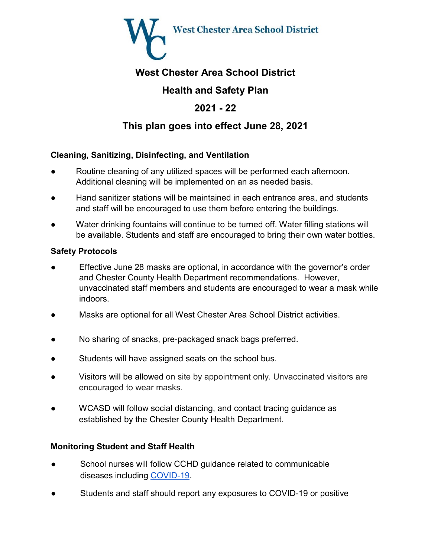

# **West Chester Area School District**

# **Health and Safety Plan**

# **2021 - 22**

# **This plan goes into effect June 28, 2021**

## **Cleaning, Sanitizing, Disinfecting, and Ventilation**

- Routine cleaning of any utilized spaces will be performed each afternoon. Additional cleaning will be implemented on an as needed basis.
- Band sanitizer stations will be maintained in each entrance area, and students and staff will be encouraged to use them before entering the buildings.
- Water drinking fountains will continue to be turned off. Water filling stations will be available. Students and staff are encouraged to bring their own water bottles.

## **Safety Protocols**

- Effective June 28 masks are optional, in accordance with the governor's order and Chester County Health Department recommendations. However, unvaccinated staff members and students are encouraged to wear a mask while indoors.
- Masks are optional for all West Chester Area School District activities.
- No sharing of snacks, pre-packaged snack bags preferred.
- Students will have assigned seats on the school bus.
- Visitors will be allowed on site by appointment only. Unvaccinated visitors are encouraged to wear masks.
- WCASD will follow social distancing, and contact tracing guidance as established by the Chester County Health Department.

## **Monitoring Student and Staff Health**

- School nurses will follow CCHD guidance related to communicable diseases including [COVID-19.](https://www.chesco.org/DocumentCenter/View/62272/COVID-19-School-Guidance-05-06-2021_Final?bidId)
- Students and staff should report any exposures to COVID-19 or positive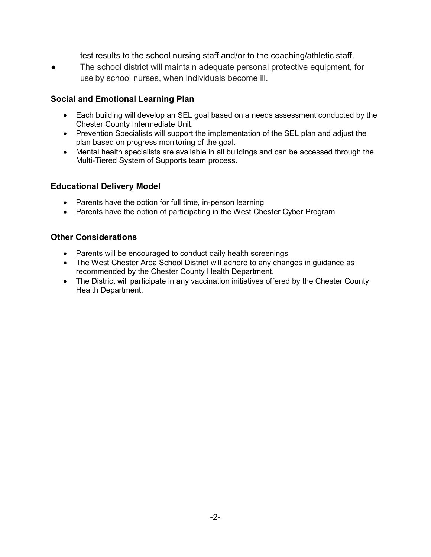test results to the school nursing staff and/or to the coaching/athletic staff.

The school district will maintain adequate personal protective equipment, for use by school nurses, when individuals become ill.

### **Social and Emotional Learning Plan**

- Each building will develop an SEL goal based on a needs assessment conducted by the Chester County Intermediate Unit.
- Prevention Specialists will support the implementation of the SEL plan and adjust the plan based on progress monitoring of the goal.
- Mental health specialists are available in all buildings and can be accessed through the Multi-Tiered System of Supports team process.

### **Educational Delivery Model**

- Parents have the option for full time, in-person learning
- Parents have the option of participating in the West Chester Cyber Program

### **Other Considerations**

- Parents will be encouraged to conduct daily health screenings
- The West Chester Area School District will adhere to any changes in guidance as recommended by the Chester County Health Department.
- The District will participate in any vaccination initiatives offered by the Chester County Health Department.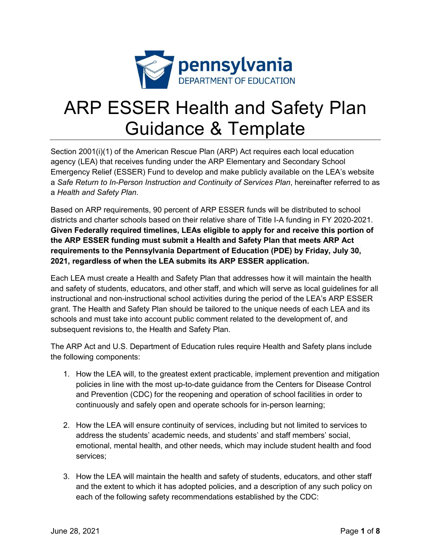

# ARP ESSER Health and Safety Plan Guidance & Template

Section 2001(i)(1) of the American Rescue Plan (ARP) Act requires each local education agency (LEA) that receives funding under the ARP Elementary and Secondary School Emergency Relief (ESSER) Fund to develop and make publicly available on the LEA's website a *Safe Return to In-Person Instruction and Continuity of Services Plan*, hereinafter referred to as a *Health and Safety Plan*.

Based on ARP requirements, 90 percent of ARP ESSER funds will be distributed to school districts and charter schools based on their relative share of Title I-A funding in FY 2020-2021. **Given Federally required timelines, LEAs eligible to apply for and receive this portion of the ARP ESSER funding must submit a Health and Safety Plan that meets ARP Act requirements to the Pennsylvania Department of Education (PDE) by Friday, July 30, 2021, regardless of when the LEA submits its ARP ESSER application.** 

Each LEA must create a Health and Safety Plan that addresses how it will maintain the health and safety of students, educators, and other staff, and which will serve as local guidelines for all instructional and non-instructional school activities during the period of the LEA's ARP ESSER grant. The Health and Safety Plan should be tailored to the unique needs of each LEA and its schools and must take into account public comment related to the development of, and subsequent revisions to, the Health and Safety Plan.

The ARP Act and U.S. Department of Education rules require Health and Safety plans include the following components:

- 1. How the LEA will, to the greatest extent practicable, implement prevention and mitigation policies in line with the most up-to-date guidance from the Centers for Disease Control and Prevention (CDC) for the reopening and operation of school facilities in order to continuously and safely open and operate schools for in-person learning;
- 2. How the LEA will ensure continuity of services, including but not limited to services to address the students' academic needs, and students' and staff members' social, emotional, mental health, and other needs, which may include student health and food services;
- 3. How the LEA will maintain the health and safety of students, educators, and other staff and the extent to which it has adopted policies, and a description of any such policy on each of the following safety recommendations established by the CDC: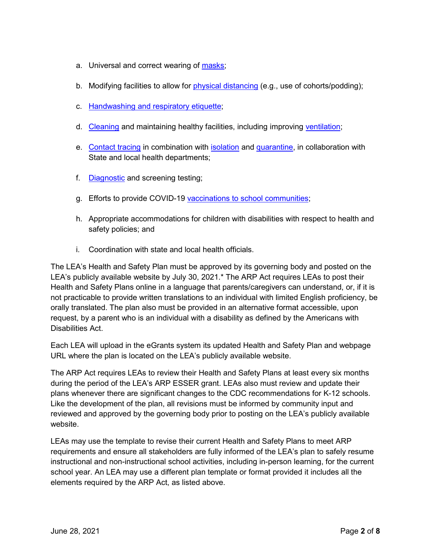- a. Universal and correct wearing of [masks;](https://www.cdc.gov/coronavirus/2019-ncov/prevent-getting-sick/cloth-face-cover-guidance.html?CDC_AA_refVal=https%3A%2F%2Fwww.cdc.gov%2Fcoronavirus%2F2019-ncov%2Fcommunity%2Fschools-childcare%2Fcloth-face-cover.html)
- b. Modifying facilities to allow for [physical distancing](https://www.cdc.gov/coronavirus/2019-ncov/prevent-getting-sick/social-distancing.html) (e.g., use of cohorts/podding);
- c. [Handwashing and respiratory etiquette;](https://www.cdc.gov/handwashing/when-how-handwashing.html)
- d. [Cleaning](https://www.cdc.gov/coronavirus/2019-ncov/community/clean-disinfect/index.html) and maintaining healthy facilities, including improving [ventilation;](https://www.cdc.gov/coronavirus/2019-ncov/community/schools-childcare/ventilation.html)
- e. [Contact tracing](https://www.cdc.gov/coronavirus/2019-ncov/php/contact-tracing/contact-tracing-resources.html?CDC_AA_refVal=https%3A%2F%2Fwww.cdc.gov%2Fcoronavirus%2F2019-ncov%2Fphp%2Fopen-america%2Fcontact-tracing-resources.html) in combination with **isolation** and [quarantine,](https://www.cdc.gov/coronavirus/2019-ncov/if-you-are-sick/quarantine.html) in collaboration with State and local health departments;
- f. [Diagnostic](https://www.cdc.gov/coronavirus/2019-ncov/lab/pooling-procedures.html) and screening testing;
- g. Efforts to provide COVID-19 [vaccinations to school communities;](https://www.cdc.gov/coronavirus/2019-ncov/vaccines/toolkits/schools-childcare.html)
- h. Appropriate accommodations for children with disabilities with respect to health and safety policies; and
- i. Coordination with state and local health officials.

The LEA's Health and Safety Plan must be approved by its governing body and posted on the LEA's publicly available website by July 30, 2021.\* The ARP Act requires LEAs to post their Health and Safety Plans online in a language that parents/caregivers can understand, or, if it is not practicable to provide written translations to an individual with limited English proficiency, be orally translated. The plan also must be provided in an alternative format accessible, upon request, by a parent who is an individual with a disability as defined by the Americans with Disabilities Act.

Each LEA will upload in the eGrants system its updated Health and Safety Plan and webpage URL where the plan is located on the LEA's publicly available website.

The ARP Act requires LEAs to review their Health and Safety Plans at least every six months during the period of the LEA's ARP ESSER grant. LEAs also must review and update their plans whenever there are significant changes to the CDC recommendations for K-12 schools. Like the development of the plan, all revisions must be informed by community input and reviewed and approved by the governing body prior to posting on the LEA's publicly available website.

LEAs may use the template to revise their current Health and Safety Plans to meet ARP requirements and ensure all stakeholders are fully informed of the LEA's plan to safely resume instructional and non-instructional school activities, including in-person learning, for the current school year. An LEA may use a different plan template or format provided it includes all the elements required by the ARP Act, as listed above.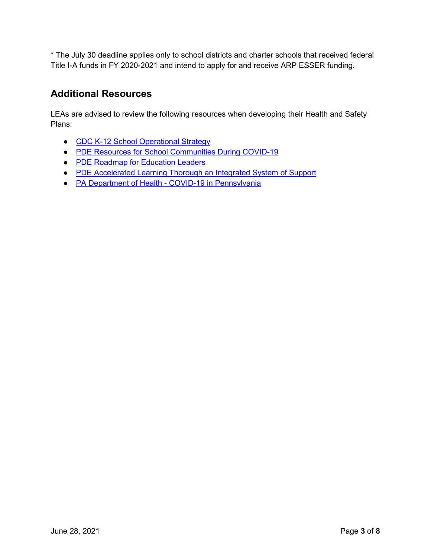\* The July 30 deadline applies only to school districts and charter schools that received federal Title I-A funds in FY 2020-2021 and intend to apply for and receive ARP ESSER funding.

## **Additional Resources**

LEAs are advised to review the following resources when developing their Health and Safety Plans:

- [CDC K-12 School Operational Strategy](https://www.cdc.gov/coronavirus/2019-ncov/community/schools-childcare/operation-strategy.html?CDC_AA_refVal=https%3A%2F%2Fwww.cdc.gov%2Fcoronavirus%2F2019-ncov%2Fcommunity%2Fschools-childcare%2Fschools.html)
- [PDE Resources for School Communities During COVID-19](https://www.education.pa.gov/Schools/safeschools/emergencyplanning/COVID-19/Pages/default.aspx)
- [PDE Roadmap for Education Leaders](https://www.education.pa.gov/Schools/safeschools/emergencyplanning/COVID-19/SchoolReopeningGuidance/ReopeningPreKto12/CreatingEquitableSchoolSystems/Pages/default.aspx)
- [PDE Accelerated Learning Thorough an Integrated System of Support](https://www.education.pa.gov/Schools/safeschools/emergencyplanning/COVID-19/SchoolReopeningGuidance/ReopeningPreKto12/CreatingEquitableSchoolSystems/AcceleratedLearning/Pages/default.aspx)
- PA Department of Health [COVID-19 in Pennsylvania](https://www.health.pa.gov/topics/disease/coronavirus/Pages/Coronavirus.aspx)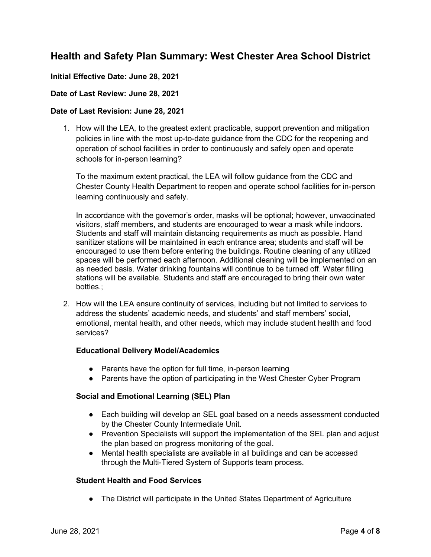## **Health and Safety Plan Summary: West Chester Area School District**

### **Initial Effective Date: June 28, 2021**

### **Date of Last Review: June 28, 2021**

### **Date of Last Revision: June 28, 2021**

1. How will the LEA, to the greatest extent practicable, support prevention and mitigation policies in line with the most up-to-date guidance from the CDC for the reopening and operation of school facilities in order to continuously and safely open and operate schools for in-person learning?

To the maximum extent practical, the LEA will follow guidance from the CDC and Chester County Health Department to reopen and operate school facilities for in-person learning continuously and safely.

In accordance with the governor's order, masks will be optional; however, unvaccinated visitors, staff members, and students are encouraged to wear a mask while indoors. Students and staff will maintain distancing requirements as much as possible. Hand sanitizer stations will be maintained in each entrance area; students and staff will be encouraged to use them before entering the buildings. Routine cleaning of any utilized spaces will be performed each afternoon. Additional cleaning will be implemented on an as needed basis. Water drinking fountains will continue to be turned off. Water filling stations will be available. Students and staff are encouraged to bring their own water bottles.;

2. How will the LEA ensure continuity of services, including but not limited to services to address the students' academic needs, and students' and staff members' social, emotional, mental health, and other needs, which may include student health and food services?

### **Educational Delivery Model/Academics**

- Parents have the option for full time, in-person learning
- Parents have the option of participating in the West Chester Cyber Program

### **Social and Emotional Learning (SEL) Plan**

- Each building will develop an SEL goal based on a needs assessment conducted by the Chester County Intermediate Unit.
- Prevention Specialists will support the implementation of the SEL plan and adjust the plan based on progress monitoring of the goal.
- Mental health specialists are available in all buildings and can be accessed through the Multi-Tiered System of Supports team process.

### **Student Health and Food Services**

● The District will participate in the United States Department of Agriculture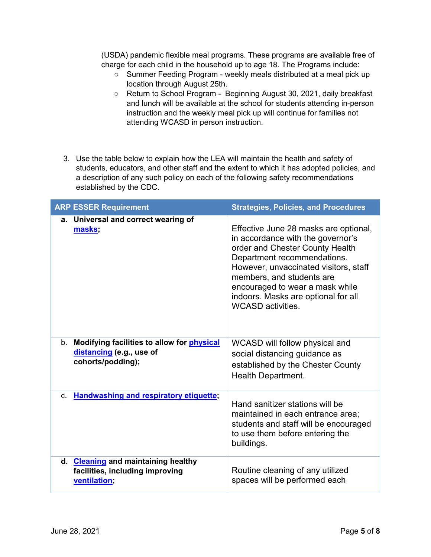(USDA) pandemic flexible meal programs. These programs are available free of charge for each child in the household up to age 18. The Programs include:

- Summer Feeding Program weekly meals distributed at a meal pick up location through August 25th.
- Return to School Program Beginning August 30, 2021, daily breakfast and lunch will be available at the school for students attending in-person instruction and the weekly meal pick up will continue for families not attending WCASD in person instruction.
- 3. Use the table below to explain how the LEA will maintain the health and safety of students, educators, and other staff and the extent to which it has adopted policies, and a description of any such policy on each of the following safety recommendations established by the CDC.

| <b>ARP ESSER Requirement</b>                                                                          | <b>Strategies, Policies, and Procedures</b>                                                                                                                                                                                                                                                                              |
|-------------------------------------------------------------------------------------------------------|--------------------------------------------------------------------------------------------------------------------------------------------------------------------------------------------------------------------------------------------------------------------------------------------------------------------------|
| a. Universal and correct wearing of<br>masks;                                                         | Effective June 28 masks are optional,<br>in accordance with the governor's<br>order and Chester County Health<br>Department recommendations.<br>However, unvaccinated visitors, staff<br>members, and students are<br>encouraged to wear a mask while<br>indoors. Masks are optional for all<br><b>WCASD</b> activities. |
| b. Modifying facilities to allow for <b>physical</b><br>distancing (e.g., use of<br>cohorts/podding); | WCASD will follow physical and<br>social distancing guidance as<br>established by the Chester County<br><b>Health Department.</b>                                                                                                                                                                                        |
| <b>Handwashing and respiratory etiquette;</b><br>$C_{\cdot}$                                          | Hand sanitizer stations will be<br>maintained in each entrance area;<br>students and staff will be encouraged<br>to use them before entering the<br>buildings.                                                                                                                                                           |
| d. Cleaning and maintaining healthy<br>facilities, including improving<br>ventilation;                | Routine cleaning of any utilized<br>spaces will be performed each                                                                                                                                                                                                                                                        |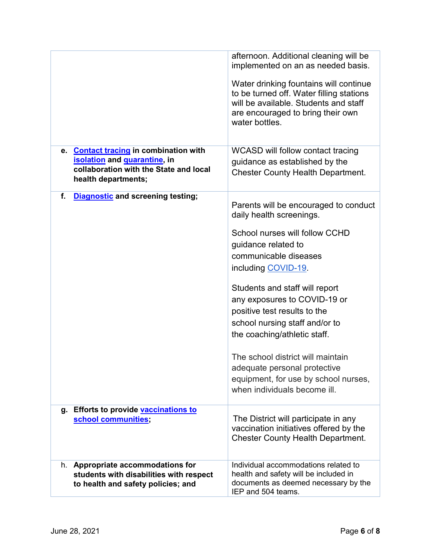| e. Contact tracing in combination with                                                                             | afternoon. Additional cleaning will be<br>implemented on an as needed basis.<br>Water drinking fountains will continue<br>to be turned off. Water filling stations<br>will be available. Students and staff<br>are encouraged to bring their own<br>water bottles.<br><b>WCASD will follow contact tracing</b> |
|--------------------------------------------------------------------------------------------------------------------|----------------------------------------------------------------------------------------------------------------------------------------------------------------------------------------------------------------------------------------------------------------------------------------------------------------|
| isolation and <i>guarantine</i> , in<br>collaboration with the State and local<br>health departments;              | guidance as established by the<br><b>Chester County Health Department.</b>                                                                                                                                                                                                                                     |
| f.<br><b>Diagnostic and screening testing;</b>                                                                     | Parents will be encouraged to conduct<br>daily health screenings.                                                                                                                                                                                                                                              |
|                                                                                                                    | School nurses will follow CCHD<br>guidance related to<br>communicable diseases<br>including COVID-19                                                                                                                                                                                                           |
|                                                                                                                    | Students and staff will report<br>any exposures to COVID-19 or<br>positive test results to the<br>school nursing staff and/or to<br>the coaching/athletic staff.                                                                                                                                               |
|                                                                                                                    | The school district will maintain<br>adequate personal protective<br>equipment, for use by school nurses,<br>when individuals become ill.                                                                                                                                                                      |
| <b>Efforts to provide vaccinations to</b><br>g.<br>school communities;                                             | The District will participate in any<br>vaccination initiatives offered by the<br><b>Chester County Health Department.</b>                                                                                                                                                                                     |
| h. Appropriate accommodations for<br>students with disabilities with respect<br>to health and safety policies; and | Individual accommodations related to<br>health and safety will be included in<br>documents as deemed necessary by the<br>IEP and 504 teams.                                                                                                                                                                    |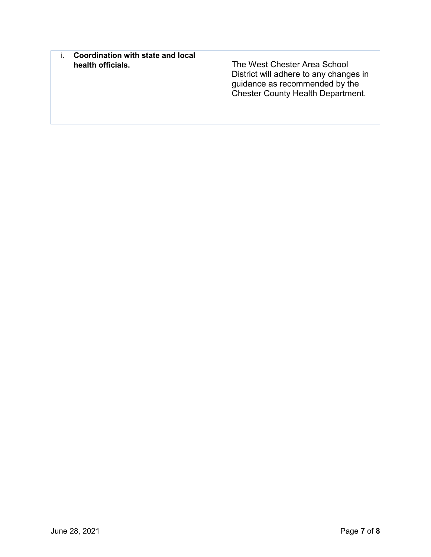| Coordination with state and local<br>health officials. | The West Chester Area School<br>District will adhere to any changes in<br>guidance as recommended by the<br><b>Chester County Health Department.</b> |
|--------------------------------------------------------|------------------------------------------------------------------------------------------------------------------------------------------------------|
|--------------------------------------------------------|------------------------------------------------------------------------------------------------------------------------------------------------------|